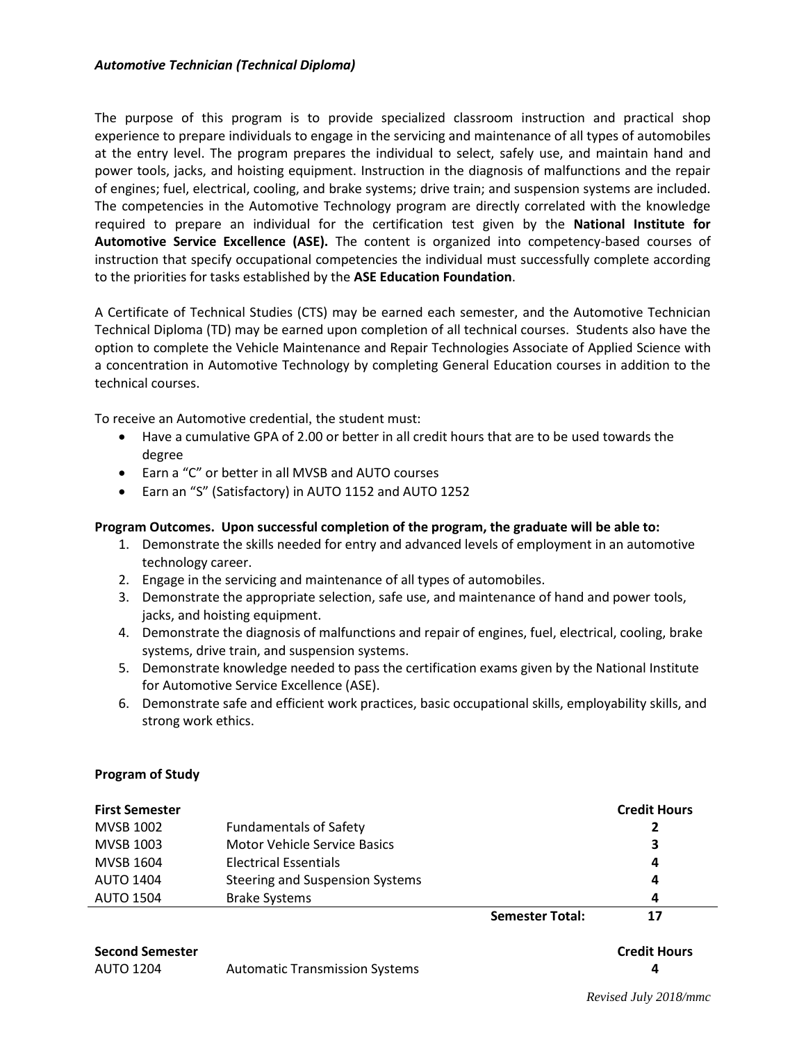## *Automotive Technician (Technical Diploma)*

The purpose of this program is to provide specialized classroom instruction and practical shop experience to prepare individuals to engage in the servicing and maintenance of all types of automobiles at the entry level. The program prepares the individual to select, safely use, and maintain hand and power tools, jacks, and hoisting equipment. Instruction in the diagnosis of malfunctions and the repair of engines; fuel, electrical, cooling, and brake systems; drive train; and suspension systems are included. The competencies in the Automotive Technology program are directly correlated with the knowledge required to prepare an individual for the certification test given by the **National Institute for Automotive Service Excellence (ASE).** The content is organized into competency-based courses of instruction that specify occupational competencies the individual must successfully complete according to the priorities for tasks established by the **ASE Education Foundation**.

A Certificate of Technical Studies (CTS) may be earned each semester, and the Automotive Technician Technical Diploma (TD) may be earned upon completion of all technical courses. Students also have the option to complete the Vehicle Maintenance and Repair Technologies Associate of Applied Science with a concentration in Automotive Technology by completing General Education courses in addition to the technical courses.

To receive an Automotive credential, the student must:

- Have a cumulative GPA of 2.00 or better in all credit hours that are to be used towards the degree
- Earn a "C" or better in all MVSB and AUTO courses
- Earn an "S" (Satisfactory) in AUTO 1152 and AUTO 1252

## **Program Outcomes. Upon successful completion of the program, the graduate will be able to:**

- 1. Demonstrate the skills needed for entry and advanced levels of employment in an automotive technology career.
- 2. Engage in the servicing and maintenance of all types of automobiles.
- 3. Demonstrate the appropriate selection, safe use, and maintenance of hand and power tools, jacks, and hoisting equipment.
- 4. Demonstrate the diagnosis of malfunctions and repair of engines, fuel, electrical, cooling, brake systems, drive train, and suspension systems.
- 5. Demonstrate knowledge needed to pass the certification exams given by the National Institute for Automotive Service Excellence (ASE).
- 6. Demonstrate safe and efficient work practices, basic occupational skills, employability skills, and strong work ethics.

## **Program of Study**

| <b>First Semester</b> |                                     |                        | <b>Credit Hours</b> |
|-----------------------|-------------------------------------|------------------------|---------------------|
| <b>MVSB 1002</b>      | <b>Fundamentals of Safety</b>       |                        |                     |
| MVSB 1003             | <b>Motor Vehicle Service Basics</b> |                        | 3                   |
| MVSB 1604             | Electrical Essentials               |                        | 4                   |
| <b>AUTO 1404</b>      | Steering and Suspension Systems     |                        | 4                   |
| AUTO 1504             | <b>Brake Systems</b>                |                        | 4                   |
|                       |                                     | <b>Semester Total:</b> |                     |